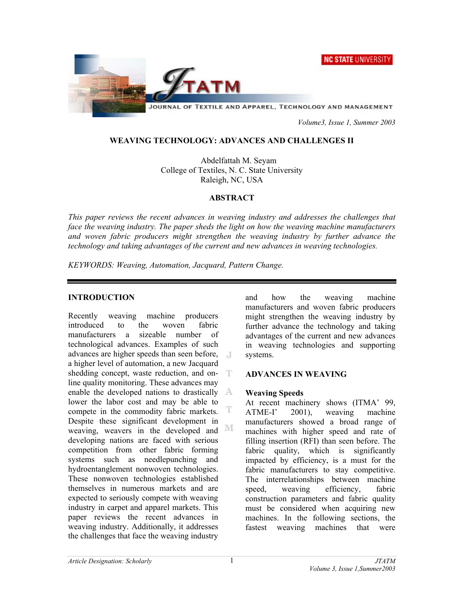



JOURNAL OF TEXTILE AND APPAREL, TECHNOLOGY AND MANAGEMENT

 *Volume3, Issue 1, Summer 2003* 

#### **WEAVING TECHNOLOGY: ADVANCES AND CHALLENGES II**

Abdelfattah M. Seyam College of Textiles, N. C. State University Raleigh, NC, USA

#### **ABSTRACT**

*This paper reviews the recent advances in weaving industry and addresses the challenges that face the weaving industry. The paper sheds the light on how the weaving machine manufacturers and woven fabric producers might strengthen the weaving industry by further advance the technology and taking advantages of the current and new advances in weaving technologies.* 

*KEYWORDS: Weaving, Automation, Jacquard, Pattern Change.* 

#### **INTRODUCTION**

Recently weaving machine producers introduced to the woven fabric manufacturers a sizeable number of technological advances. Examples of such advances are higher speeds than seen before, a higher level of automation, a new Jacquard shedding concept, waste reduction, and online quality monitoring. These advances may enable the developed nations to drastically  $\mathbb{A}$ lower the labor cost and may be able to compete in the commodity fabric markets. Despite these significant development in M weaving, weavers in the developed and developing nations are faced with serious competition from other fabric forming systems such as needlepunching and hydroentanglement nonwoven technologies. These nonwoven technologies established themselves in numerous markets and are expected to seriously compete with weaving industry in carpet and apparel markets. This paper reviews the recent advances in weaving industry. Additionally, it addresses the challenges that face the weaving industry

and how the weaving machine manufacturers and woven fabric producers might strengthen the weaving industry by further advance the technology and taking advantages of the current and new advances in weaving technologies and supporting systems.

#### **ADVANCES IN WEAVING**

#### **Weaving Speeds**

At recent machinery shows (ITMA' 99, ATME-I' 2001), weaving machine manufacturers showed a broad range of machines with higher speed and rate of filling insertion (RFI) than seen before. The fabric quality, which is significantly impacted by efficiency, is a must for the fabric manufacturers to stay competitive. The interrelationships between machine speed, weaving efficiency, fabric construction parameters and fabric quality must be considered when acquiring new machines. In the following sections, the fastest weaving machines that were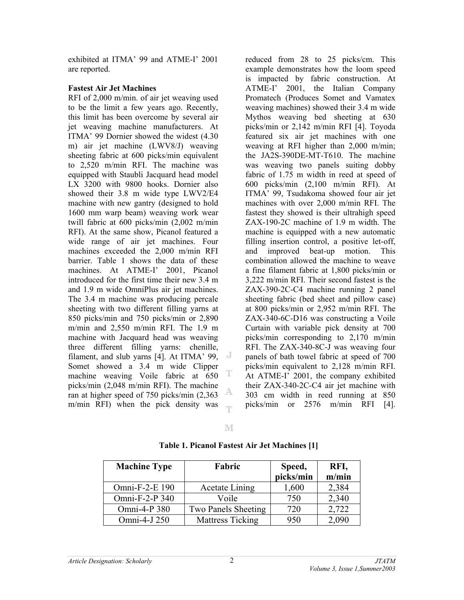exhibited at ITMA' 99 and ATME-I' 2001 are reported.

### **Fastest Air Jet Machines**

RFI of 2,000 m/min. of air jet weaving used to be the limit a few years ago. Recently, this limit has been overcome by several air jet weaving machine manufacturers. At ITMA' 99 Dornier showed the widest (4.30 m) air jet machine (LWV8/J) weaving sheeting fabric at 600 picks/min equivalent to 2,520 m/min RFI. The machine was equipped with Staubli Jacquard head model LX 3200 with 9800 hooks. Dornier also showed their 3.8 m wide type LWV2/E4 machine with new gantry (designed to hold 1600 mm warp beam) weaving work wear twill fabric at 600 picks/min (2,002 m/min RFI). At the same show, Picanol featured a wide range of air jet machines. Four machines exceeded the 2,000 m/min RFI barrier. Table 1 shows the data of these machines. At ATME-I' 2001, Picanol introduced for the first time their new 3.4 m and 1.9 m wide OmniPlus air jet machines. The 3.4 m machine was producing percale sheeting with two different filling yarns at 850 picks/min and 750 picks/min or 2,890 m/min and 2,550 m/min RFI. The 1.9 m machine with Jacquard head was weaving three different filling yarns: chenille, filament, and slub yarns [4]. At ITMA' 99, Somet showed a 3.4 m wide Clipper machine weaving Voile fabric at 650 T picks/min (2,048 m/min RFI). The machine A ran at higher speed of 750 picks/min (2,363 m/min RFI) when the pick density was m reduced from 28 to 25 picks/cm. This example demonstrates how the loom speed is impacted by fabric construction. At ATME-I' 2001, the Italian Company Promatech (Produces Somet and Vamatex weaving machines) showed their 3.4 m wide Mythos weaving bed sheeting at 630 picks/min or 2,142 m/min RFI [4]. Toyoda featured six air jet machines with one weaving at RFI higher than 2,000 m/min; the JA2S-390DE-MT-T610. The machine was weaving two panels suiting dobby fabric of 1.75 m width in reed at speed of 600 picks/min (2,100 m/min RFI). At ITMA' 99, Tsudakoma showed four air jet machines with over 2,000 m/min RFI. The fastest they showed is their ultrahigh speed ZAX-190-2C machine of 1.9 m width. The machine is equipped with a new automatic filling insertion control, a positive let-off, and improved beat-up motion. This combination allowed the machine to weave a fine filament fabric at 1,800 picks/min or 3,222 m/min RFI. Their second fastest is the ZAX-390-2C-C4 machine running 2 panel sheeting fabric (bed sheet and pillow case) at 800 picks/min or 2,952 m/min RFI. The ZAX-340-6C-D16 was constructing a Voile Curtain with variable pick density at 700 picks/min corresponding to 2,170 m/min RFI. The ZAX-340-8C-J was weaving four panels of bath towel fabric at speed of 700 picks/min equivalent to 2,128 m/min RFI. At ATME-I' 2001, the company exhibited their ZAX-340-2C-C4 air jet machine with 303 cm width in reed running at 850 picks/min or 2576 m/min RFI [4].

| <b>Machine Type</b> | Fabric                     | Speed,<br>picks/min | RFI,<br>m/min |
|---------------------|----------------------------|---------------------|---------------|
| Omni-F-2-E 190      | <b>Acetate Lining</b>      | 1,600               | 2,384         |
| Omni-F-2-P 340      | Voile                      | 750                 | 2,340         |
| Omni-4-P 380        | <b>Two Panels Sheeting</b> | 720                 | 2,722         |
| Omni-4-J 250        | <b>Mattress Ticking</b>    | 950                 | 2,090         |

**Table 1. Picanol Fastest Air Jet Machines [1]**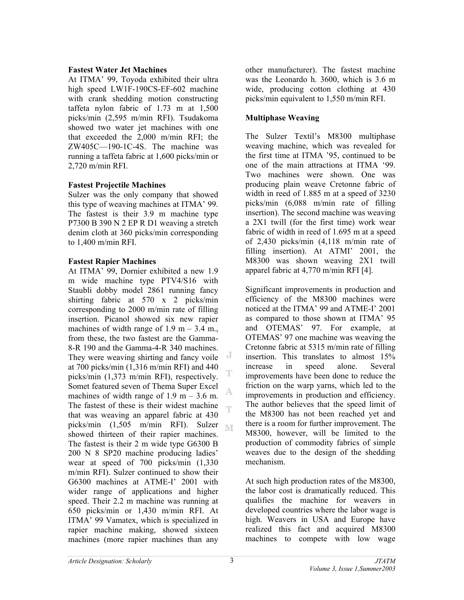#### **Fastest Water Jet Machines**

At ITMA' 99, Toyoda exhibited their ultra high speed LW1F-190CS-EF-602 machine with crank shedding motion constructing taffeta nylon fabric of 1.73 m at 1,500 picks/min (2,595 m/min RFI). Tsudakoma showed two water jet machines with one that exceeded the 2,000 m/min RFI; the ZW405C—190-1C-4S. The machine was running a taffeta fabric at 1,600 picks/min or 2,720 m/min RFI.

## **Fastest Projectile Machines**

Sulzer was the only company that showed this type of weaving machines at ITMA' 99. The fastest is their 3.9 m machine type P7300 B 390 N 2 EP R D1 weaving a stretch denim cloth at 360 picks/min corresponding to 1,400 m/min RFI.

### **Fastest Rapier Machines**

At ITMA' 99, Dornier exhibited a new 1.9 m wide machine type PTV4/S16 with Staubli dobby model 2861 running fancy shirting fabric at 570 x 2 picks/min corresponding to 2000 m/min rate of filling insertion. Picanol showed six new rapier machines of width range of  $1.9 \text{ m} - 3.4 \text{ m}$ . from these, the two fastest are the Gamma-8-R 190 and the Gamma-4-R 340 machines. They were weaving shirting and fancy voile at 700 picks/min (1,316 m/min RFI) and 440 picks/min (1,373 m/min RFI), respectively. Somet featured seven of Thema Super Excel Ą, machines of width range of  $1.9 \text{ m} - 3.6 \text{ m}$ . The fastest of these is their widest machine œ that was weaving an apparel fabric at 430 picks/min  $(1,505 \text{ m/min}$  RFI). Sulzer showed thirteen of their rapier machines. The fastest is their 2 m wide type G6300 B 200 N 8 SP20 machine producing ladies' wear at speed of 700 picks/min (1,330 m/min RFI). Sulzer continued to show their G6300 machines at ATME-I' 2001 with wider range of applications and higher speed. Their 2.2 m machine was running at 650 picks/min or 1,430 m/min RFI. At ITMA' 99 Vamatex, which is specialized in rapier machine making, showed sixteen machines (more rapier machines than any

other manufacturer). The fastest machine was the Leonardo h. 3600, which is 3.6 m wide, producing cotton clothing at 430 picks/min equivalent to 1,550 m/min RFI.

# **Multiphase Weaving**

The Sulzer Textil's M8300 multiphase weaving machine, which was revealed for the first time at ITMA '95, continued to be one of the main attractions at ITMA '99. Two machines were shown. One was producing plain weave Cretonne fabric of width in reed of 1.885 m at a speed of 3230 picks/min (6,088 m/min rate of filling insertion). The second machine was weaving a 2X1 twill (for the first time) work wear fabric of width in reed of 1.695 m at a speed of 2,430 picks/min (4,118 m/min rate of filling insertion). At ATMI' 2001, the M8300 was shown weaving 2X1 twill apparel fabric at 4,770 m/min RFI [4].

Significant improvements in production and efficiency of the M8300 machines were noticed at the ITMA' 99 and ATME-I' 2001 as compared to those shown at ITMA' 95 and OTEMAS' 97. For example, at OTEMAS' 97 one machine was weaving the Cretonne fabric at 5315 m/min rate of filling insertion. This translates to almost 15% increase in speed alone. Several improvements have been done to reduce the friction on the warp yarns, which led to the improvements in production and efficiency. The author believes that the speed limit of the M8300 has not been reached yet and there is a room for further improvement. The M8300, however, will be limited to the production of commodity fabrics of simple weaves due to the design of the shedding mechanism.

At such high production rates of the M8300, the labor cost is dramatically reduced. This qualifies the machine for weavers in developed countries where the labor wage is high. Weavers in USA and Europe have realized this fact and acquired M8300 machines to compete with low wage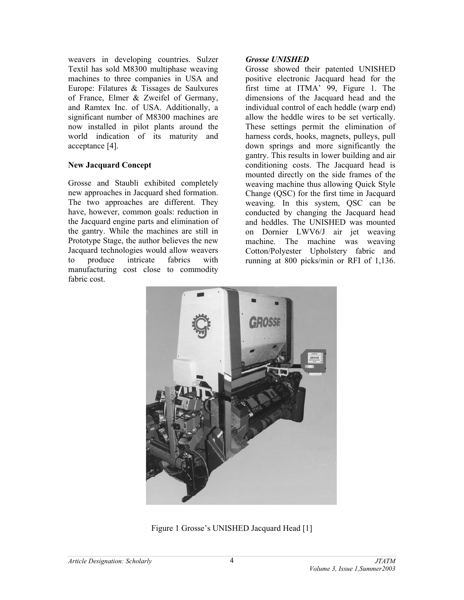weavers in developing countries. Sulzer Textil has sold M8300 multiphase weaving machines to three companies in USA and Europe: Filatures & Tissages de Saulxures of France, Elmer & Zweifel of Germany, and Ramtex Inc. of USA. Additionally, a significant number of M8300 machines are now installed in pilot plants around the world indication of its maturity and acceptance [4].

## **New Jacquard Concept**

Grosse and Staubli exhibited completely new approaches in Jacquard shed formation. The two approaches are different. They have, however, common goals: reduction in the Jacquard engine parts and elimination of the gantry. While the machines are still in Prototype Stage, the author believes the new Jacquard technologies would allow weavers to produce intricate fabrics with manufacturing cost close to commodity fabric cost.

#### *Grosse UNISHED*

Grosse showed their patented UNISHED positive electronic Jacquard head for the first time at ITMA' 99, Figure 1. The dimensions of the Jacquard head and the individual control of each heddle (warp end) allow the heddle wires to be set vertically. These settings permit the elimination of harness cords, hooks, magnets, pulleys, pull down springs and more significantly the gantry. This results in lower building and air conditioning costs. The Jacquard head is mounted directly on the side frames of the weaving machine thus allowing Quick Style Change (QSC) for the first time in Jacquard weaving. In this system, QSC can be conducted by changing the Jacquard head and heddles. The UNISHED was mounted on Dornier LWV6/J air jet weaving machine. The machine was weaving Cotton/Polyester Upholstery fabric and running at 800 picks/min or RFI of 1,136.



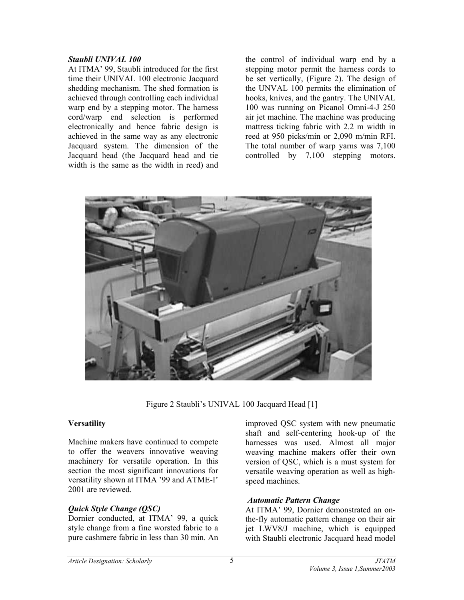#### *Staubli UNIVAL 100*

At ITMA' 99, Staubli introduced for the first time their UNIVAL 100 electronic Jacquard shedding mechanism. The shed formation is achieved through controlling each individual warp end by a stepping motor. The harness cord/warp end selection is performed electronically and hence fabric design is achieved in the same way as any electronic Jacquard system. The dimension of the Jacquard head (the Jacquard head and tie width is the same as the width in reed) and the control of individual warp end by a stepping motor permit the harness cords to be set vertically, (Figure 2). The design of the UNVAL 100 permits the elimination of hooks, knives, and the gantry. The UNIVAL 100 was running on Picanol Omni-4-J 250 air jet machine. The machine was producing mattress ticking fabric with 2.2 m width in reed at 950 picks/min or 2,090 m/min RFI. The total number of warp yarns was 7,100 controlled by 7,100 stepping motors.



Figure 2 Staubli's UNIVAL 100 Jacquard Head [1]

### **Versatility**

Machine makers have continued to compete to offer the weavers innovative weaving machinery for versatile operation. In this section the most significant innovations for versatility shown at ITMA '99 and ATME-I' 2001 are reviewed.

# *Quick Style Change (QSC)*

Dornier conducted, at ITMA' 99, a quick style change from a fine worsted fabric to a pure cashmere fabric in less than 30 min. An

improved QSC system with new pneumatic shaft and self-centering hook-up of the harnesses was used. Almost all major weaving machine makers offer their own version of QSC, which is a must system for versatile weaving operation as well as highspeed machines.

### *Automatic Pattern Change*

At ITMA' 99, Dornier demonstrated an onthe-fly automatic pattern change on their air jet LWV8/J machine, which is equipped with Staubli electronic Jacquard head model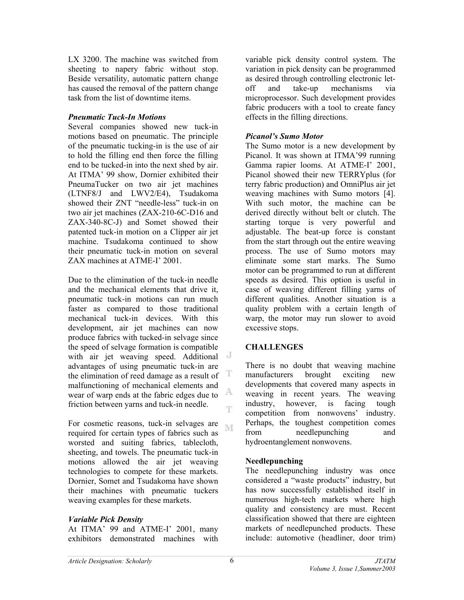LX 3200. The machine was switched from sheeting to napery fabric without stop. Beside versatility, automatic pattern change has caused the removal of the pattern change task from the list of downtime items.

### *Pneumatic Tuck-In Motions*

Several companies showed new tuck-in motions based on pneumatic. The principle of the pneumatic tucking-in is the use of air to hold the filling end then force the filling end to be tucked-in into the next shed by air. At ITMA' 99 show, Dornier exhibited their PneumaTucker on two air jet machines (LTNF8/J and LWV2/E4), Tsudakoma showed their ZNT "needle-less" tuck-in on two air jet machines (ZAX-210-6C-D16 and ZAX-340-8C-J) and Somet showed their patented tuck-in motion on a Clipper air jet machine. Tsudakoma continued to show their pneumatic tuck-in motion on several ZAX machines at ATME-I' 2001.

Due to the elimination of the tuck-in needle and the mechanical elements that drive it, pneumatic tuck-in motions can run much faster as compared to those traditional mechanical tuck-in devices. With this development, air jet machines can now produce fabrics with tucked-in selvage since the speed of selvage formation is compatible with air jet weaving speed. Additional advantages of using pneumatic tuck-in are T the elimination of reed damage as a result of malfunctioning of mechanical elements and A. wear of warp ends at the fabric edges due to friction between yarns and tuck-in needle. œ

For cosmetic reasons, tuck-in selvages are NT required for certain types of fabrics such as worsted and suiting fabrics, tablecloth, sheeting, and towels. The pneumatic tuck-in motions allowed the air jet weaving technologies to compete for these markets. Dornier, Somet and Tsudakoma have shown their machines with pneumatic tuckers weaving examples for these markets.

### *Variable Pick Density*

At ITMA' 99 and ATME-I' 2001, many exhibitors demonstrated machines with

variable pick density control system. The variation in pick density can be programmed as desired through controlling electronic letoff and take-up mechanisms via microprocessor. Such development provides fabric producers with a tool to create fancy effects in the filling directions.

### *Picanol's Sumo Motor*

The Sumo motor is a new development by Picanol. It was shown at ITMA'99 running Gamma rapier looms. At ATME-I' 2001, Picanol showed their new TERRYplus (for terry fabric production) and OmniPlus air jet weaving machines with Sumo motors [4]. With such motor, the machine can be derived directly without belt or clutch. The starting torque is very powerful and adjustable. The beat-up force is constant from the start through out the entire weaving process. The use of Sumo motors may eliminate some start marks. The Sumo motor can be programmed to run at different speeds as desired. This option is useful in case of weaving different filling yarns of different qualities. Another situation is a quality problem with a certain length of warp, the motor may run slower to avoid excessive stops.

### **CHALLENGES**

There is no doubt that weaving machine manufacturers brought exciting new developments that covered many aspects in weaving in recent years. The weaving industry, however, is facing tough competition from nonwovens' industry. Perhaps, the toughest competition comes from needlepunching and hydroentanglement nonwovens.

### **Needlepunching**

The needlepunching industry was once considered a "waste products" industry, but has now successfully established itself in numerous high-tech markets where high quality and consistency are must. Recent classification showed that there are eighteen markets of needlepunched products. These include: automotive (headliner, door trim)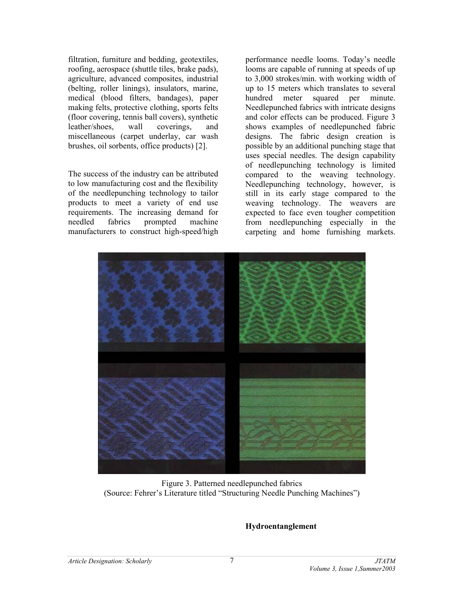filtration, furniture and bedding, geotextiles, roofing, aerospace (shuttle tiles, brake pads), agriculture, advanced composites, industrial (belting, roller linings), insulators, marine, medical (blood filters, bandages), paper making felts, protective clothing, sports felts (floor covering, tennis ball covers), synthetic leather/shoes, wall coverings, and miscellaneous (carpet underlay, car wash brushes, oil sorbents, office products) [2].

The success of the industry can be attributed to low manufacturing cost and the flexibility of the needlepunching technology to tailor products to meet a variety of end use requirements. The increasing demand for needled fabrics prompted machine manufacturers to construct high-speed/high

performance needle looms. Today's needle looms are capable of running at speeds of up to 3,000 strokes/min. with working width of up to 15 meters which translates to several hundred meter squared per minute. Needlepunched fabrics with intricate designs and color effects can be produced. Figure 3 shows examples of needlepunched fabric designs. The fabric design creation is possible by an additional punching stage that uses special needles. The design capability of needlepunching technology is limited compared to the weaving technology. Needlepunching technology, however, is still in its early stage compared to the weaving technology. The weavers are expected to face even tougher competition from needlepunching especially in the carpeting and home furnishing markets.



Figure 3. Patterned needlepunched fabrics (Source: Fehrer's Literature titled "Structuring Needle Punching Machines")

#### **Hydroentanglement**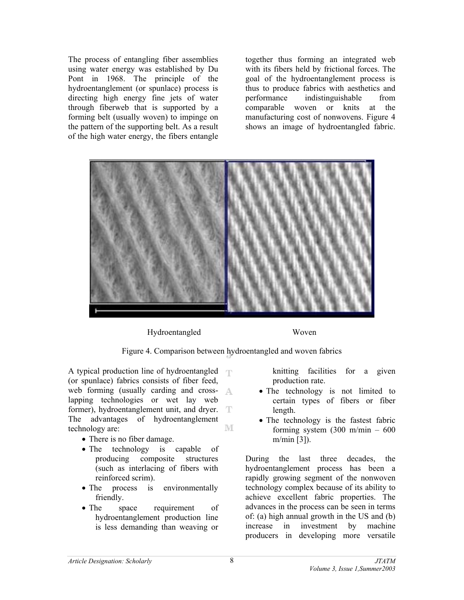The process of entangling fiber assemblies using water energy was established by Du Pont in 1968. The principle of the hydroentanglement (or spunlace) process is directing high energy fine jets of water through fiberweb that is supported by a forming belt (usually woven) to impinge on the pattern of the supporting belt. As a result of the high water energy, the fibers entangle together thus forming an integrated web with its fibers held by frictional forces. The goal of the hydroentanglement process is thus to produce fabrics with aesthetics and performance indistinguishable from comparable woven or knits at the manufacturing cost of nonwovens. Figure 4 shows an image of hydroentangled fabric.



Hydroentangled Woven

Figure 4. Comparison between hydroentangled and woven fabrics

A typical production line of hydroentangled  $\top$ (or spunlace) fabrics consists of fiber feed, web forming (usually carding and crosslapping technologies or wet lay web former), hydroentanglement unit, and dryer. The advantages of hydroentanglement M technology are:

- There is no fiber damage.
- The technology is capable of producing composite structures (such as interlacing of fibers with reinforced scrim).
- The process is environmentally friendly.
- The space requirement of hydroentanglement production line is less demanding than weaving or

knitting facilities for a given production rate.

- The technology is not limited to certain types of fibers or fiber length.
- The technology is the fastest fabric forming system (300 m/min – 600 m/min [3]).

During the last three decades, the hydroentanglement process has been a rapidly growing segment of the nonwoven technology complex because of its ability to achieve excellent fabric properties. The advances in the process can be seen in terms of: (a) high annual growth in the US and (b) increase in investment by machine producers in developing more versatile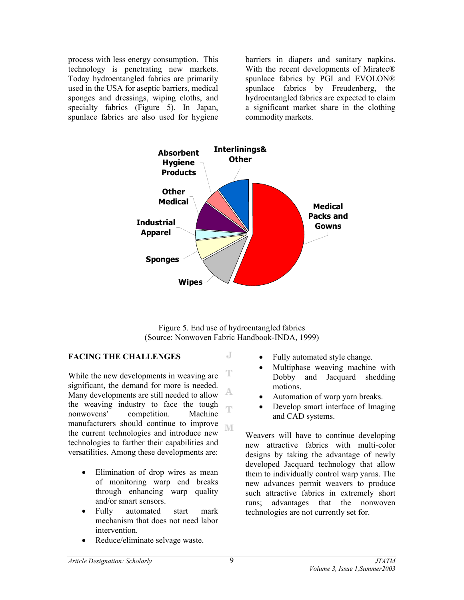process with less energy consumption. This technology is penetrating new markets. Today hydroentangled fabrics are primarily used in the USA for aseptic barriers, medical sponges and dressings, wiping cloths, and specialty fabrics (Figure 5). In Japan, spunlace fabrics are also used for hygiene

barriers in diapers and sanitary napkins. With the recent developments of Miratec® spunlace fabrics by PGI and EVOLON® spunlace fabrics by Freudenberg, the hydroentangled fabrics are expected to claim a significant market share in the clothing commodity markets.



Figure 5. End use of hydroentangled fabrics (Source: Nonwoven Fabric Handbook-INDA, 1999)

J

# **FACING THE CHALLENGES**

T While the new developments in weaving are significant, the demand for more is needed. Many developments are still needed to allow the weaving industry to face the tough Ŧ nonwovens' competition. Machine manufacturers should continue to improve M the current technologies and introduce new technologies to farther their capabilities and versatilities. Among these developments are:

- Elimination of drop wires as mean of monitoring warp end breaks through enhancing warp quality and/or smart sensors.
- Fully automated start mark mechanism that does not need labor intervention.
- Reduce/eliminate selvage waste.
- Fully automated style change.
- Multiphase weaving machine with Dobby and Jacquard shedding motions.
- Automation of warp yarn breaks.
- Develop smart interface of Imaging and CAD systems.

Weavers will have to continue developing new attractive fabrics with multi-color designs by taking the advantage of newly developed Jacquard technology that allow them to individually control warp yarns. The new advances permit weavers to produce such attractive fabrics in extremely short runs; advantages that the nonwoven technologies are not currently set for.